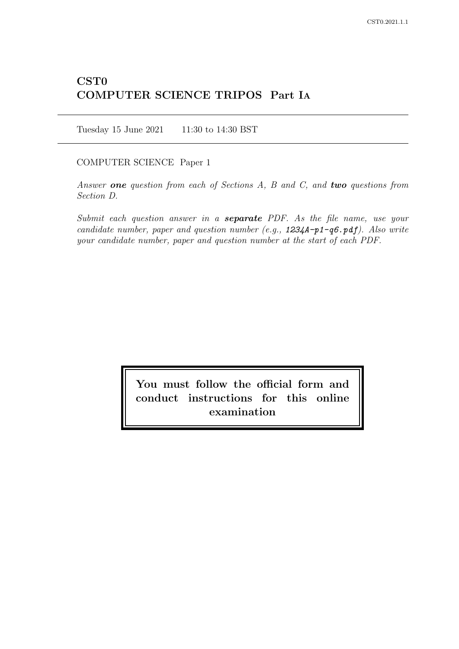# CST0 COMPUTER SCIENCE TRIPOS Part IA

Tuesday 15 June 2021 11:30 to 14:30 BST

COMPUTER SCIENCE Paper 1

Answer one question from each of Sections  $A$ ,  $B$  and  $C$ , and two questions from Section D.

Submit each question answer in a **separate** PDF. As the file name, use your candidate number, paper and question number (e.g.,  $1234A-p1-q6.pdf$ ). Also write your candidate number, paper and question number at the start of each PDF.

> You must follow the official form and conduct instructions for this online examination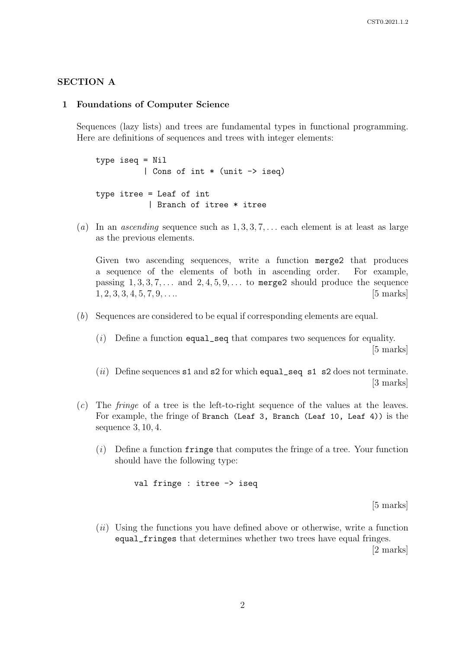# SECTION A

#### 1 Foundations of Computer Science

Sequences (lazy lists) and trees are fundamental types in functional programming. Here are definitions of sequences and trees with integer elements:

type iseq = Nil | Cons of int \* (unit -> iseq) type itree = Leaf of int | Branch of itree \* itree

(a) In an *ascending* sequence such as  $1, 3, 3, 7, \ldots$  each element is at least as large as the previous elements.

Given two ascending sequences, write a function merge2 that produces a sequence of the elements of both in ascending order. For example, passing  $1, 3, 3, 7, \ldots$  and  $2, 4, 5, 9, \ldots$  to merge2 should produce the sequence  $1, 2, 3, 3, 4, 5, 7, 9, \ldots$  [5 marks]

- (b) Sequences are considered to be equal if corresponding elements are equal.
	- $(i)$  Define a function equal\_seq that compares two sequences for equality. [5 marks]
	- (ii) Define sequences  $s1$  and  $s2$  for which equal seq s1  $s2$  does not terminate. [3 marks]
- (c) The fringe of a tree is the left-to-right sequence of the values at the leaves. For example, the fringe of Branch (Leaf 3, Branch (Leaf 10, Leaf 4)) is the sequence 3, 10, 4.
	- $(i)$  Define a function fringe that computes the fringe of a tree. Your function should have the following type:

val fringe : itree -> iseq

[5 marks]

 $(ii)$  Using the functions you have defined above or otherwise, write a function equal\_fringes that determines whether two trees have equal fringes. [2 marks]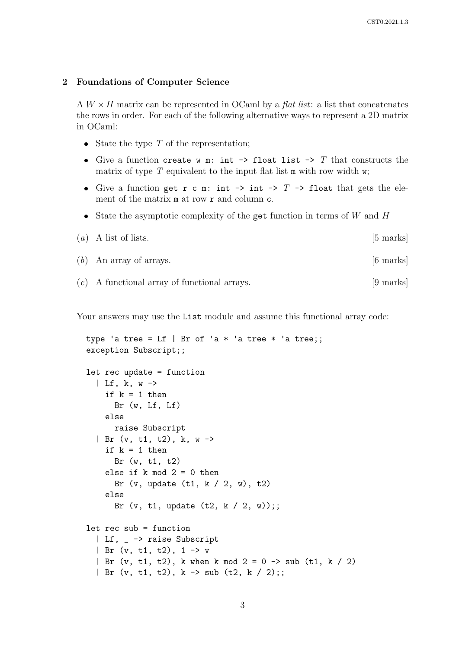#### 2 Foundations of Computer Science

A  $W \times H$  matrix can be represented in OCaml by a *flat list*: a list that concatenates the rows in order. For each of the following alternative ways to represent a 2D matrix in OCaml:

- State the type  $T$  of the representation;
- Give a function create w m: int  $\rightarrow$  float list  $\rightarrow$  T that constructs the matrix of type  $T$  equivalent to the input flat list  $m$  with row width w;
- Give a function get r c m: int  $\rightarrow$  int  $\rightarrow$  T  $\rightarrow$  float that gets the element of the matrix **m** at row **r** and column **c**.
- State the asymptotic complexity of the get function in terms of  $W$  and  $H$

$$
(a) A list of lists. \t\t [5 marks]
$$

- (b) An array of arrays. [6 marks]
- (c) A functional array of functional arrays. [9 marks]

Your answers may use the List module and assume this functional array code:

```
type 'a tree = Lf | Br of 'a * 'a tree * 'a tree;;
exception Subscript;;
let rec update = function
  | Lf, k, w \rightarrowif k = 1 then
      Br (w, Lf, Lf)else
      raise Subscript
  | Br (v, t1, t2), k, w ->
    if k = 1 then
      Br (w, t1, t2)
    else if k \mod 2 = 0 then
      Br (v, update (t1, k / 2, w), t2)
    else
      Br (v, t1, update (t2, k / 2, w));;
let rec sub = function
  | Lf, _ -> raise Subscript
  | Br (v, t1, t2), 1 -> v
  | Br (v, t1, t2), k when k mod 2 = 0 \rightarrow sub (t1, k / 2)
  | Br (v, t1, t2), k -> sub (t2, k / 2);;
```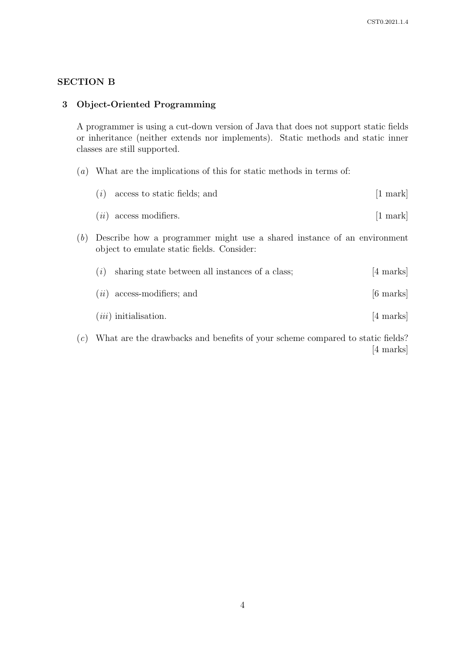# SECTION B

# 3 Object-Oriented Programming

A programmer is using a cut-down version of Java that does not support static fields or inheritance (neither extends nor implements). Static methods and static inner classes are still supported.

- (a) What are the implications of this for static methods in terms of:
	- $(i)$  access to static fields; and  $[1 \text{ mark}]$
	- $(ii)$  access modifiers.  $[1 \text{ mark}]$
- (b) Describe how a programmer might use a shared instance of an environment object to emulate static fields. Consider:

| (i) | sharing state between all instances of a class; | [4 marks] |
|-----|-------------------------------------------------|-----------|
|     | $(ii)$ access-modifiers; and                    | [6 marks] |
|     | $(iii)$ initialisation.                         | [4 marks] |

(c) What are the drawbacks and benefits of your scheme compared to static fields? [4 marks]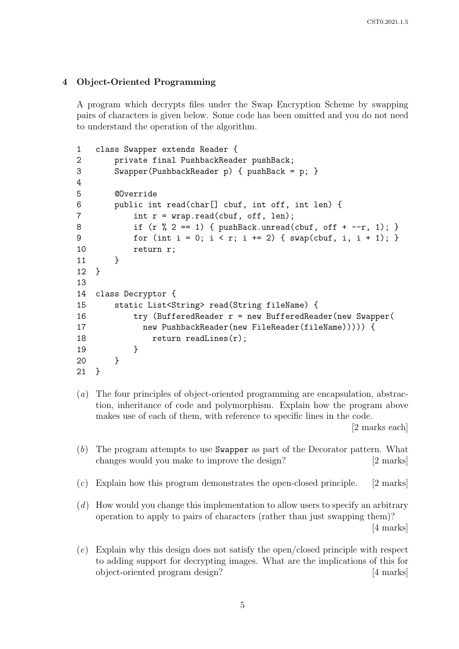# 4 Object-Oriented Programming

A program which decrypts files under the Swap Encryption Scheme by swapping pairs of characters is given below. Some code has been omitted and you do not need to understand the operation of the algorithm.

```
1 class Swapper extends Reader {
2 private final PushbackReader pushBack;
3 Swapper(PushbackReader p) { pushBack = p; }
4
5 @Override
6 public int read(char[] cbuf, int off, int len) {
7 int r = wrap.read(cbuf, off, len);8 if (r % 2 == 1) { pushBack.unread(cbuf, off + -r, 1); }9 for (int i = 0; i < r; i += 2) { swap(cbuf, i, i + 1); }
10 return r;
11 }
12 }
13
14 class Decryptor {
15 static List<String> read(String fileName) {
16 try (BufferedReader r = new BufferedReader(new Swapper(
17 new PushbackReader(new FileReader(fileName))))) {
18 return readLines(r);
19 }
20 }
21 }
```
(a) The four principles of object-oriented programming are encapsulation, abstraction, inheritance of code and polymorphism. Explain how the program above makes use of each of them, with reference to specific lines in the code.

[2 marks each]

- (b) The program attempts to use Swapper as part of the Decorator pattern. What changes would you make to improve the design? [2 marks]
- (c) Explain how this program demonstrates the open-closed principle. [2 marks]
- (d) How would you change this implementation to allow users to specify an arbitrary operation to apply to pairs of characters (rather than just swapping them)? [4 marks]
- (e) Explain why this design does not satisfy the open/closed principle with respect to adding support for decrypting images. What are the implications of this for object-oriented program design? [4 marks]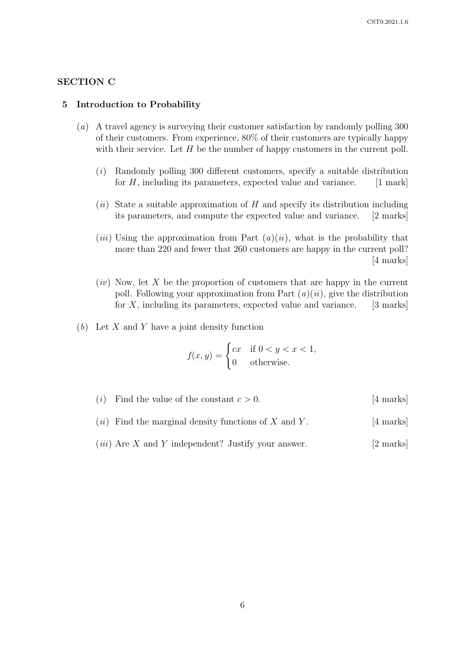# SECTION C

#### 5 Introduction to Probability

- (a) A travel agency is surveying their customer satisfaction by randomly polling 300 of their customers. From experience, 80% of their customers are typically happy with their service. Let  $H$  be the number of happy customers in the current poll.
	- (i) Randomly polling 300 different customers, specify a suitable distribution for  $H$ , including its parameters, expected value and variance. [1 mark]
	- $(ii)$  State a suitable approximation of H and specify its distribution including its parameters, and compute the expected value and variance. [2 marks]
	- (*iii*) Using the approximation from Part  $(a)(ii)$ , what is the probability that more than 220 and fewer that 260 customers are happy in the current poll? [4 marks]
	- $(iv)$  Now, let X be the proportion of customers that are happy in the current poll. Following your approximation from Part  $(a)(ii)$ , give the distribution for  $X$ , including its parameters, expected value and variance. [3 marks]
- $(b)$  Let X and Y have a joint density function

$$
f(x,y) = \begin{cases} cx & \text{if } 0 < y < x < 1, \\ 0 & \text{otherwise.} \end{cases}
$$

- (*i*) Find the value of the constant  $c > 0$ . [4 marks]
- (*ii*) Find the marginal density functions of X and Y. [4 marks]
- (*iii*) Are X and Y independent? Justify your answer.  $[2 \text{ marks}]$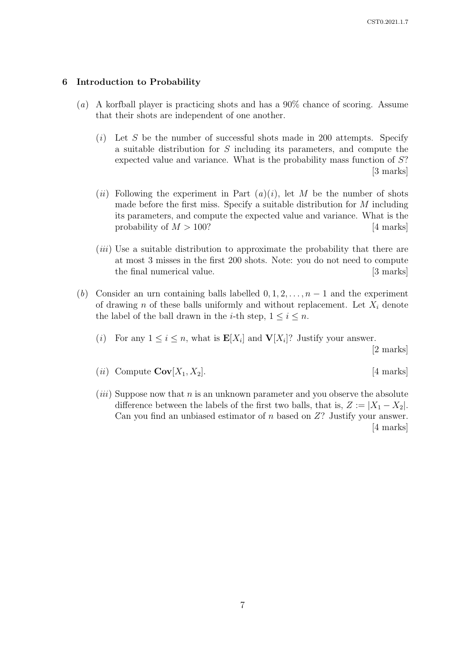### 6 Introduction to Probability

- (a) A korfball player is practicing shots and has a 90% chance of scoring. Assume that their shots are independent of one another.
	- $(i)$  Let S be the number of successful shots made in 200 attempts. Specify a suitable distribution for S including its parameters, and compute the expected value and variance. What is the probability mass function of S? [3 marks]
	- (*ii*) Following the experiment in Part  $(a)(i)$ , let M be the number of shots made before the first miss. Specify a suitable distribution for M including its parameters, and compute the expected value and variance. What is the probability of  $M > 100$ ? [4 marks]
	- (*iii*) Use a suitable distribution to approximate the probability that there are at most 3 misses in the first 200 shots. Note: you do not need to compute the final numerical value. [3 marks]
- (b) Consider an urn containing balls labelled  $0, 1, 2, \ldots, n-1$  and the experiment of drawing n of these balls uniformly and without replacement. Let  $X_i$  denote the label of the ball drawn in the *i*-th step,  $1 \le i \le n$ .
	- (*i*) For any  $1 \leq i \leq n$ , what is  $\mathbf{E}[X_i]$  and  $\mathbf{V}[X_i]$ ? Justify your answer.

[2 marks]

- (*ii*) Compute  $\mathbf{Cov}[X_1, X_2]$ . [4 marks]
- $(iii)$  Suppose now that n is an unknown parameter and you observe the absolute difference between the labels of the first two balls, that is,  $Z := |X_1 - X_2|$ . Can you find an unbiased estimator of  $n$  based on  $Z$ ? Justify your answer. [4 marks]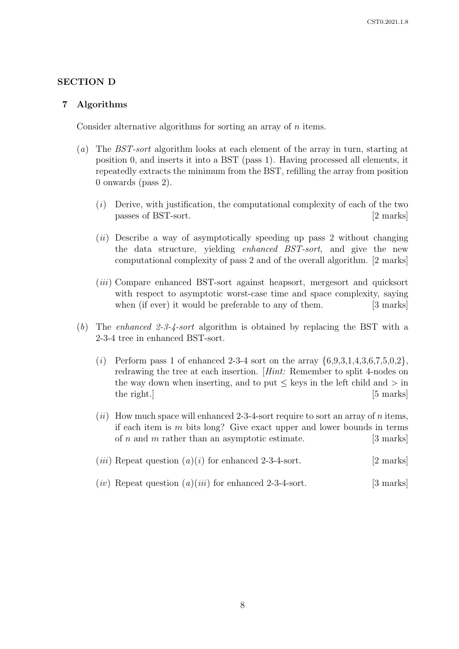# SECTION D

#### 7 Algorithms

Consider alternative algorithms for sorting an array of n items.

- (a) The BST-sort algorithm looks at each element of the array in turn, starting at position 0, and inserts it into a BST (pass 1). Having processed all elements, it repeatedly extracts the minimum from the BST, refilling the array from position 0 onwards (pass 2).
	- $(i)$  Derive, with justification, the computational complexity of each of the two passes of BST-sort. [2 marks]
	- $(ii)$  Describe a way of asymptotically speeding up pass 2 without changing the data structure, yielding enhanced BST-sort, and give the new computational complexity of pass 2 and of the overall algorithm. [2 marks]
	- (iii) Compare enhanced BST-sort against heapsort, mergesort and quicksort with respect to asymptotic worst-case time and space complexity, saying when (if ever) it would be preferable to any of them. [3 marks]
- (b) The enhanced 2-3-4-sort algorithm is obtained by replacing the BST with a 2-3-4 tree in enhanced BST-sort.
	- (*i*) Perform pass 1 of enhanced 2-3-4 sort on the array  $\{6.9,3.1,4.3,6.7,5.0,2\}$ , redrawing the tree at each insertion. [Hint: Remember to split 4-nodes on the way down when inserting, and to put  $\leq$  keys in the left child and  $>$  in the right.] [5 marks]
	- (ii) How much space will enhanced 2-3-4-sort require to sort an array of n items, if each item is m bits long? Give exact upper and lower bounds in terms of  $n$  and  $m$  rather than an asymptotic estimate. [3 marks]
	- (*iii*) Repeat question  $(a)(i)$  for enhanced 2-3-4-sort. [2 marks]
	- $(iv)$  Repeat question  $(a)(iii)$  for enhanced 2-3-4-sort. [3 marks]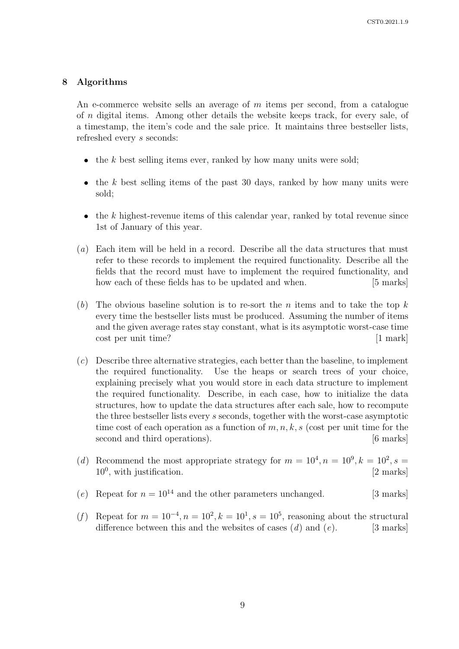### 8 Algorithms

An e-commerce website sells an average of m items per second, from a catalogue of n digital items. Among other details the website keeps track, for every sale, of a timestamp, the item's code and the sale price. It maintains three bestseller lists, refreshed every s seconds:

- $\bullet$ the k best selling items ever, ranked by how many units were sold;
- $\bullet$  the k best selling items of the past 30 days, ranked by how many units were sold;
- $\bullet$  the k highest-revenue items of this calendar year, ranked by total revenue since 1st of January of this year.
- (a) Each item will be held in a record. Describe all the data structures that must refer to these records to implement the required functionality. Describe all the fields that the record must have to implement the required functionality, and how each of these fields has to be updated and when. [5 marks]
- (b) The obvious baseline solution is to re-sort the n items and to take the top  $k$ every time the bestseller lists must be produced. Assuming the number of items and the given average rates stay constant, what is its asymptotic worst-case time cost per unit time? [1 mark]
- (c) Describe three alternative strategies, each better than the baseline, to implement the required functionality. Use the heaps or search trees of your choice, explaining precisely what you would store in each data structure to implement the required functionality. Describe, in each case, how to initialize the data structures, how to update the data structures after each sale, how to recompute the three bestseller lists every s seconds, together with the worst-case asymptotic time cost of each operation as a function of  $m, n, k, s$  (cost per unit time for the second and third operations). [6 marks]
- (d) Recommend the most appropriate strategy for  $m = 10^4, n = 10^9, k = 10^2, s =$  $10^0$ , with justification. [2 marks]
- (e) Repeat for  $n = 10^{14}$  and the other parameters unchanged. [3 marks]
- (f) Repeat for  $m = 10^{-4}, n = 10^{2}, k = 10^{1}, s = 10^{5}$ , reasoning about the structural difference between this and the websites of cases  $(d)$  and  $(e)$ . [3 marks]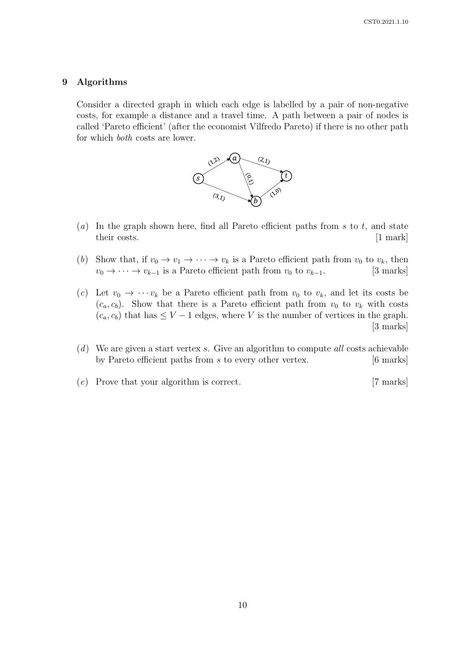## 9 Algorithms

Consider a directed graph in which each edge is labelled by a pair of non-negative costs, for example a distance and a travel time. A path between a pair of nodes is called 'Pareto efficient' (after the economist Vilfredo Pareto) if there is no other path for which both costs are lower.



- (a) In the graph shown here, find all Pareto efficient paths from s to t, and state their costs. [1 mark]
- (b) Show that, if  $v_0 \to v_1 \to \cdots \to v_k$  is a Pareto efficient path from  $v_0$  to  $v_k$ , then  $v_0 \to \cdots \to v_{k-1}$  is a Pareto efficient path from  $v_0$  to  $v_{k-1}$ . [3 marks]
- (c) Let  $v_0 \to \cdots v_k$  be a Pareto efficient path from  $v_0$  to  $v_k$ , and let its costs be  $(c_a, c_b)$ . Show that there is a Pareto efficient path from  $v_0$  to  $v_k$  with costs  $(c_a, c_b)$  that has  $\leq V - 1$  edges, where V is the number of vertices in the graph. [3 marks]
- $(d)$  We are given a start vertex s. Give an algorithm to compute all costs achievable by Pareto efficient paths from s to every other vertex. [6 marks]
- (e) Prove that your algorithm is correct. [7 marks]